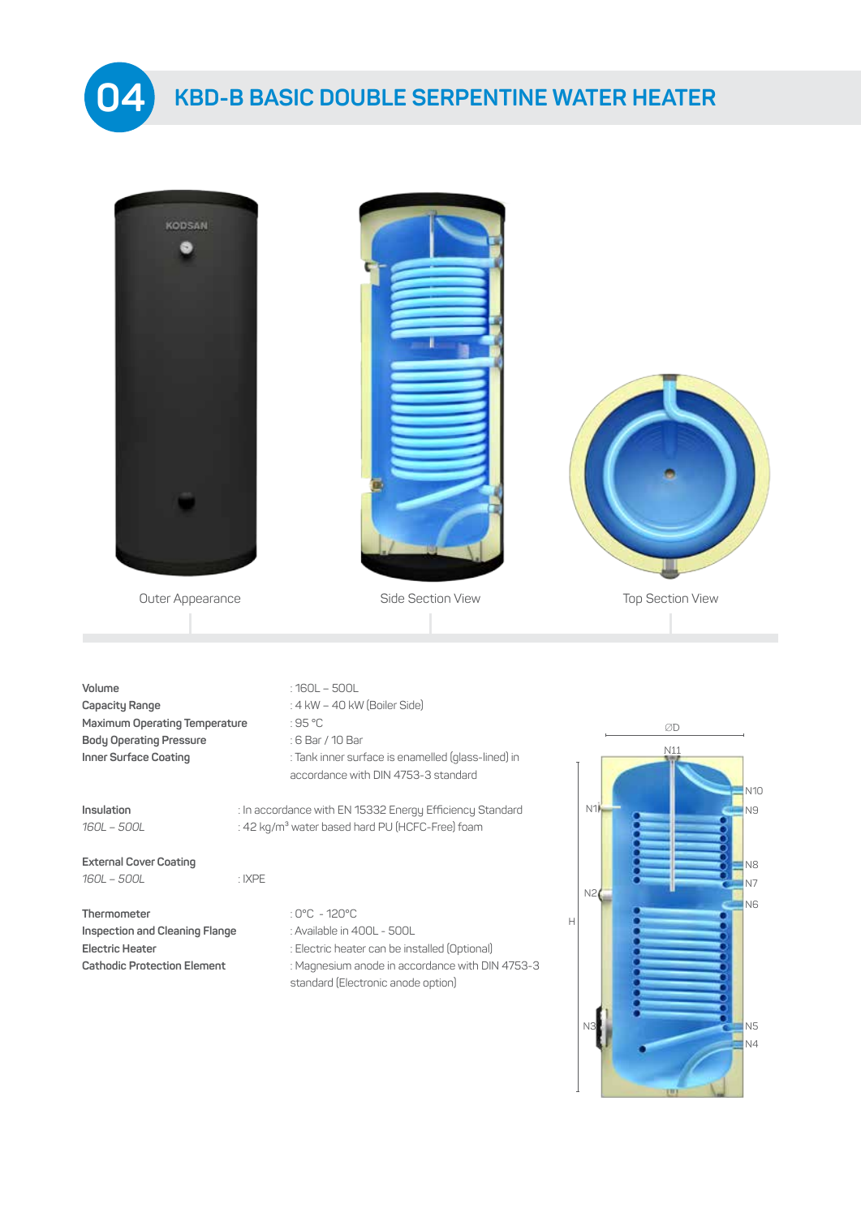

## **KBD-B BASIC DOUBLE SERPENTINE WATER HEATER**

| <b>KODSAN</b>                                                                                                        |                          |                                                                                                                                                                      |             |                                         |
|----------------------------------------------------------------------------------------------------------------------|--------------------------|----------------------------------------------------------------------------------------------------------------------------------------------------------------------|-------------|-----------------------------------------|
| Outer Appearance                                                                                                     |                          | Side Section View                                                                                                                                                    |             | Top Section View                        |
| Volume<br>Capacity Range<br>Maximum Operating Temperature<br><b>Body Operating Pressure</b><br>Inner Surface Coating | $:160L - 500L$<br>:95 °C | : 4 kW - 40 kW (Boiler Side)<br>: 6 Bar / 10 Bar<br>: Tank inner surface is enamelled (glass-lined) in<br>accordance with DIN 4753-3 standard                        |             | $\oslash$ D<br>N11<br>N <sub>10</sub>   |
| Insulation<br>160L - 500L                                                                                            |                          | : In accordance with EN 15332 Energy Efficiency Standard<br>: 42 kg/m <sup>3</sup> water based hard PU (HCFC-Free) foam                                              | N1          | N <sub>9</sub>                          |
| <b>External Cover Coating</b><br>160L - 500L                                                                         | : $IXPE$                 |                                                                                                                                                                      | N2          | IN <sub>8</sub><br>N7<br>N <sub>6</sub> |
| Thermometer<br><b>Inspection and Cleaning Flange</b><br><b>Electric Heater</b><br><b>Cathodic Protection Element</b> | : 0°C - 120°C            | : Available in 400L - 500L<br>: Electric heater can be installed (Optional)<br>: Magnesium anode in accordance with DIN 4753-3<br>standard (Electronic anode option) | $\mathbb H$ | N <sub>5</sub><br>N4                    |